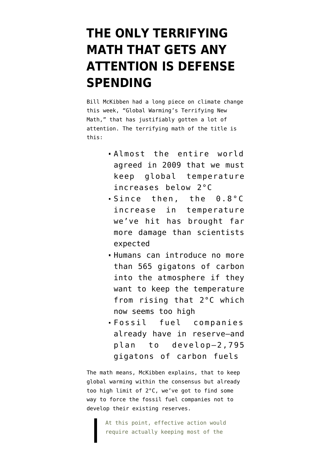## **[THE ONLY TERRIFYING](https://www.emptywheel.net/2012/07/21/the-only-terrifying-math-that-gets-any-attention-is-defense-spending/) [MATH THAT GETS ANY](https://www.emptywheel.net/2012/07/21/the-only-terrifying-math-that-gets-any-attention-is-defense-spending/) [ATTENTION IS DEFENSE](https://www.emptywheel.net/2012/07/21/the-only-terrifying-math-that-gets-any-attention-is-defense-spending/) [SPENDING](https://www.emptywheel.net/2012/07/21/the-only-terrifying-math-that-gets-any-attention-is-defense-spending/)**

Bill McKibben had a long piece on climate change this week, ["Global Warming's Terrifying New](http://www.rollingstone.com/politics/news/global-warmings-terrifying-new-math-20120719) [Math](http://www.rollingstone.com/politics/news/global-warmings-terrifying-new-math-20120719)," that has justifiably gotten a lot of attention. The terrifying math of the title is this:

- Almost the entire world agreed in 2009 that we must keep global temperature increases below 2°C
- Since then, the 0.8°C increase in temperature we've hit has brought far more damage than scientists expected
- Humans can introduce no more than 565 gigatons of carbon into the atmosphere if they want to keep the temperature from rising that 2°C which now seems too high
- Fossil fuel companies already have in reserve–and plan to develop–2,795 gigatons of carbon fuels

The math means, McKibben explains, that to keep global warming within the consensus but already too high limit of 2°C, we've got to find some way to force the fossil fuel companies not to develop their existing reserves.

> At this point, effective action would require actually keeping most of the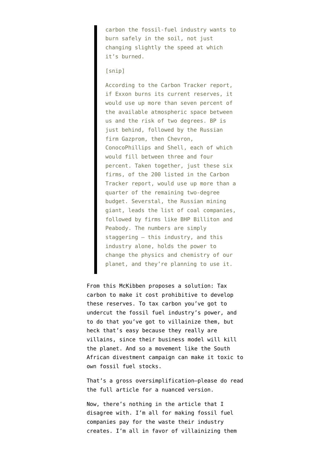carbon the fossil-fuel industry wants to burn safely in the soil, not just changing slightly the speed at which it's burned.

## [snip]

According to the Carbon Tracker report, if Exxon burns its current reserves, it would use up more than seven percent of the available atmospheric space between us and the risk of two degrees. BP is just behind, followed by the Russian firm Gazprom, then Chevron, ConocoPhillips and Shell, each of which would fill between three and four percent. Taken together, just these six firms, of the 200 listed in the Carbon Tracker report, would use up more than a quarter of the remaining two-degree budget. Severstal, the Russian mining giant, leads the list of coal companies, followed by firms like BHP Billiton and Peabody. The numbers are simply staggering – this industry, and this industry alone, holds the power to change the physics and chemistry of our planet, and they're planning to use it.

From this McKibben proposes a solution: Tax carbon to make it cost prohibitive to develop these reserves. To tax carbon you've got to undercut the fossil fuel industry's power, and to do that you've got to villainize them, but heck that's easy because they really are villains, since their business model will kill the planet. And so a movement like the South African divestment campaign can make it toxic to own fossil fuel stocks.

That's a gross oversimplification–please do read the [full article](http://www.rollingstone.com/politics/news/global-warmings-terrifying-new-math-20120719) for a nuanced version.

Now, there's nothing in the article that I disagree with. I'm all for making fossil fuel companies pay for the waste their industry creates. I'm all in favor of villainizing them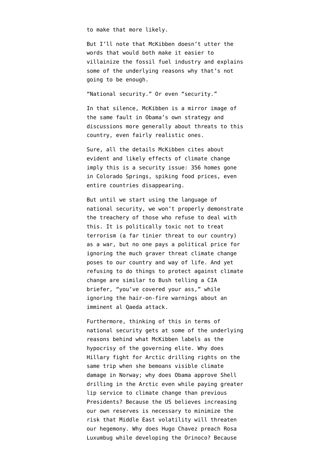to make that more likely.

But I'll note that McKibben doesn't utter the words that would both make it easier to villainize the fossil fuel industry and explains some of the underlying reasons why that's not going to be enough.

"National security." Or even "security."

In that silence, McKibben is a mirror image of the same fault in [Obama's own strategy](http://www.emptywheel.net/2012/01/05/on-strategy-drones-and-climate-change/) and [discussions more generally](http://www.emptywheel.net/2012/03/01/clear-and-present-climate-blindness/) about threats to this country, even fairly realistic ones.

Sure, all the details McKibben cites about evident and likely effects of climate change imply this is a security issue: 356 homes gone in Colorado Springs, spiking food prices, even entire countries disappearing.

But until we start using the language of national security, we won't properly demonstrate the treachery of those who refuse to deal with this. It is politically toxic not to treat terrorism (a far tinier threat to our country) as a war, but no one pays a political price for ignoring the much graver threat climate change poses to our country and way of life. And yet refusing to do things to protect against climate change are similar to Bush telling a CIA briefer, "you've covered your ass," while ignoring the hair-on-fire warnings about an imminent al Qaeda attack.

Furthermore, thinking of this in terms of national security gets at some of the underlying reasons behind what McKibben labels as the hypocrisy of the governing elite. Why does Hillary fight for Arctic drilling rights on the same trip when she bemoans visible climate damage in Norway; why does Obama approve Shell drilling in the Arctic even while paying greater lip service to climate change than previous Presidents? Because the US believes increasing our own reserves is necessary to minimize the risk that Middle East volatility will threaten our hegemony. Why does Hugo Chavez preach Rosa Luxumbug while developing the Orinoco? Because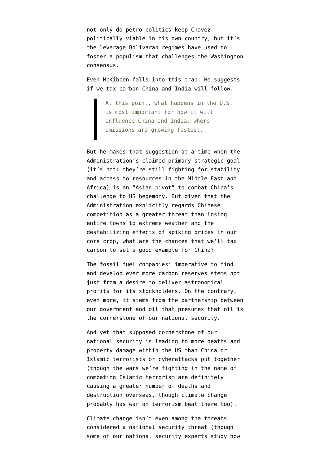not only do petro-politics keep Chavez politically viable in his own country, but it's the leverage Bolivaran regimes have used to foster a populism that challenges the Washington consensus.

Even McKibben falls into this trap. He suggests if we tax carbon China and India will follow.

> At this point, what happens in the U.S. is most important for how it will influence China and India, where emissions are growing fastest.

But he makes that suggestion at a time when the Administration's claimed primary strategic goal (it's not: they're still fighting for stability and access to resources in the Middle East and Africa) is an "Asian pivot" to combat China's challenge to US hegemony. But given that the Administration explicitly regards Chinese competition as a greater threat than losing entire towns to extreme weather and the destabilizing effects of spiking prices in our core crop, what are the chances that we'll tax carbon to set a good example for China?

The fossil fuel companies' imperative to find and develop ever more carbon reserves stems not just from a desire to deliver astronomical profits for its stockholders. On the contrary, even more, it stems from the partnership between our government and oil that presumes that oil is the cornerstone of our national security.

And yet that supposed cornerstone of our national security is leading to more deaths and property damage within the US than China or Islamic terrorists or cyberattacks put together (though the wars we're fighting in the name of combating Islamic terrorism are definitely causing a greater number of deaths and destruction overseas, though climate change probably has war on terrorism beat there too).

Climate change isn't even among the threats considered a national security threat (though some of our national security experts study how